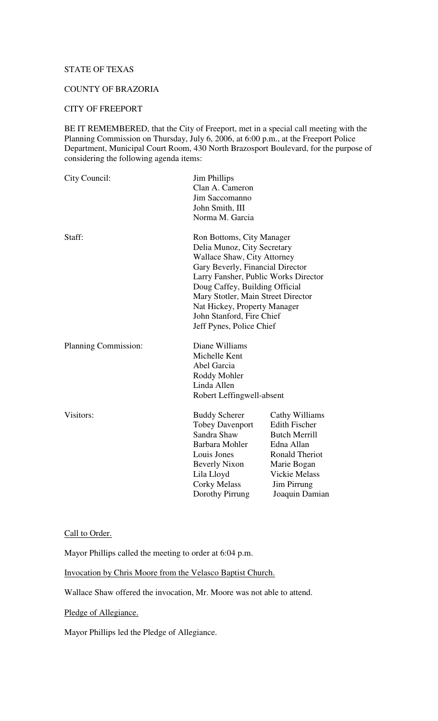#### STATE OF TEXAS

### COUNTY OF BRAZORIA

# CITY OF FREEPORT

BE IT REMEMBERED, that the City of Freeport, met in a special call meeting with the Planning Commission on Thursday, July 6, 2006, at 6:00 p.m., at the Freeport Police Department, Municipal Court Room, 430 North Brazosport Boulevard, for the purpose of considering the following agenda items:

| City Council:        | <b>Jim Phillips</b><br>Clan A. Cameron<br>Jim Saccomanno<br>John Smith, III<br>Norma M. Garcia                                                                                                                                                                                                                                              |                                                                                                                                                                               |
|----------------------|---------------------------------------------------------------------------------------------------------------------------------------------------------------------------------------------------------------------------------------------------------------------------------------------------------------------------------------------|-------------------------------------------------------------------------------------------------------------------------------------------------------------------------------|
| Staff:               | Ron Bottoms, City Manager<br>Delia Munoz, City Secretary<br><b>Wallace Shaw, City Attorney</b><br>Gary Beverly, Financial Director<br>Larry Fansher, Public Works Director<br>Doug Caffey, Building Official<br>Mary Stotler, Main Street Director<br>Nat Hickey, Property Manager<br>John Stanford, Fire Chief<br>Jeff Pynes, Police Chief |                                                                                                                                                                               |
| Planning Commission: | Diane Williams<br>Michelle Kent<br>Abel Garcia<br>Roddy Mohler<br>Linda Allen<br>Robert Leffingwell-absent                                                                                                                                                                                                                                  |                                                                                                                                                                               |
| Visitors:            | <b>Buddy Scherer</b><br><b>Tobey Davenport</b><br>Sandra Shaw<br>Barbara Mohler<br>Louis Jones<br><b>Beverly Nixon</b><br>Lila Lloyd<br><b>Corky Melass</b><br>Dorothy Pirrung                                                                                                                                                              | Cathy Williams<br><b>Edith Fischer</b><br><b>Butch Merrill</b><br>Edna Allan<br><b>Ronald Theriot</b><br>Marie Bogan<br><b>Vickie Melass</b><br>Jim Pirrung<br>Joaquin Damian |

# Call to Order.

Mayor Phillips called the meeting to order at 6:04 p.m.

Invocation by Chris Moore from the Velasco Baptist Church.

Wallace Shaw offered the invocation, Mr. Moore was not able to attend.

Pledge of Allegiance.

Mayor Phillips led the Pledge of Allegiance.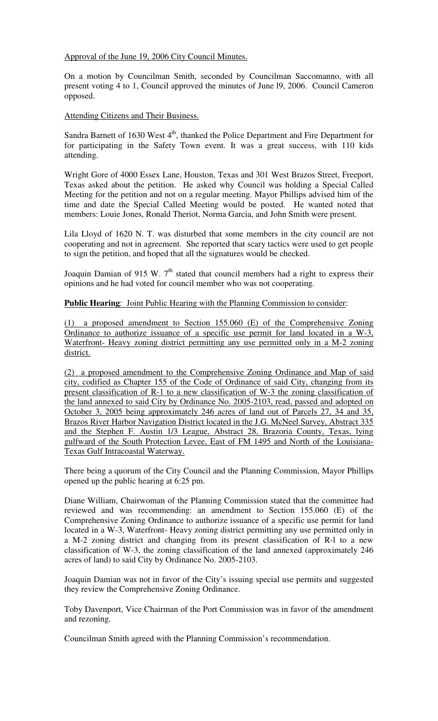Approval of the June 19, 2006 City Council Minutes.

On a motion by Councilman Smith, seconded by Councilman Saccomanno, with all present voting 4 to 1, Council approved the minutes of June l9, 2006. Council Cameron opposed.

Attending Citizens and Their Business.

Sandra Barnett of 1630 West  $4<sup>th</sup>$ , thanked the Police Department and Fire Department for for participating in the Safety Town event. It was a great success, with 110 kids attending.

Wright Gore of 4000 Essex Lane, Houston, Texas and 301 West Brazos Street, Freeport, Texas asked about the petition. He asked why Council was holding a Special Called Meeting for the petition and not on a regular meeting. Mayor Phillips advised him of the time and date the Special Called Meeting would be posted. He wanted noted that members: Louie Jones, Ronald Theriot, Norma Garcia, and John Smith were present.

Lila Lloyd of 1620 N. T. was disturbed that some members in the city council are not cooperating and not in agreement. She reported that scary tactics were used to get people to sign the petition, and hoped that all the signatures would be checked.

Joaquin Damian of 915 W.  $7<sup>th</sup>$  stated that council members had a right to express their opinions and he had voted for council member who was not cooperating.

**Public Hearing**: Joint Public Hearing with the Planning Commission to consider:

(1) a proposed amendment to Section 155.060 (E) of the Comprehensive Zoning Ordinance to authorize issuance of a specific use permit for land located in a W-3, Waterfront- Heavy zoning district permitting any use permitted only in a M-2 zoning district.

(2) a proposed amendment to the Comprehensive Zoning Ordinance and Map of said city, codified as Chapter 155 of the Code of Ordinance of said City, changing from its present classification of R-1 to a new classification of W-3 the zoning classification of the land annexed to said City by Ordinance No. 2005-2103, read, passed and adopted on October 3, 2005 being approximately 246 acres of land out of Parcels 27, 34 and 35, Brazos River Harbor Navigation District located in the J.G. McNeel Survey, Abstract 335 and the Stephen F. Austin 1/3 League, Abstract 28, Brazoria County, Texas, lying gulfward of the South Protection Levee, East of FM 1495 and North of the Louisiana-Texas Gulf Intracoastal Waterway.

There being a quorum of the City Council and the Planning Commission, Mayor Phillips opened up the public hearing at 6:25 pm.

Diane William, Chairwoman of the Planning Commission stated that the committee had reviewed and was recommending: an amendment to Section 155.060 (E) of the Comprehensive Zoning Ordinance to authorize issuance of a specific use permit for land located in a W-3, Waterfront- Heavy zoning district permitting any use permitted only in a M-2 zoning district and changing from its present classification of R-l to a new classification of W-3, the zoning classification of the land annexed (approximately 246 acres of land) to said City by Ordinance No. 2005-2103.

Joaquin Damian was not in favor of the City's issuing special use permits and suggested they review the Comprehensive Zoning Ordinance.

Toby Davenport, Vice Chairman of the Port Commission was in favor of the amendment and rezoning.

Councilman Smith agreed with the Planning Commission's recommendation.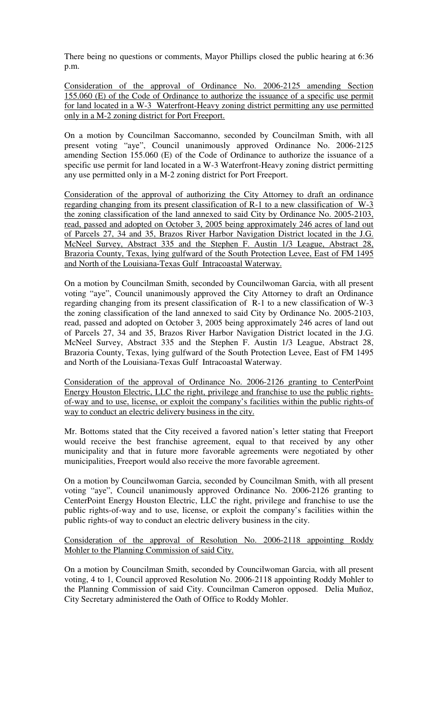There being no questions or comments, Mayor Phillips closed the public hearing at 6:36 p.m.

Consideration of the approval of Ordinance No. 2006-2125 amending Section 155.060 (E) of the Code of Ordinance to authorize the issuance of a specific use permit for land located in a W-3 Waterfront-Heavy zoning district permitting any use permitted only in a M-2 zoning district for Port Freeport.

On a motion by Councilman Saccomanno, seconded by Councilman Smith, with all present voting "aye", Council unanimously approved Ordinance No. 2006-2125 amending Section 155.060 (E) of the Code of Ordinance to authorize the issuance of a specific use permit for land located in a W-3 Waterfront-Heavy zoning district permitting any use permitted only in a M-2 zoning district for Port Freeport.

Consideration of the approval of authorizing the City Attorney to draft an ordinance regarding changing from its present classification of R-1 to a new classification of W-3 the zoning classification of the land annexed to said City by Ordinance No. 2005-2103, read, passed and adopted on October 3, 2005 being approximately 246 acres of land out of Parcels 27, 34 and 35, Brazos River Harbor Navigation District located in the J.G. McNeel Survey, Abstract 335 and the Stephen F. Austin 1/3 League, Abstract 28, Brazoria County, Texas, lying gulfward of the South Protection Levee, East of FM 1495 and North of the Louisiana-Texas Gulf Intracoastal Waterway.

On a motion by Councilman Smith, seconded by Councilwoman Garcia, with all present voting "aye", Council unanimously approved the City Attorney to draft an Ordinance regarding changing from its present classification of R-1 to a new classification of W-3 the zoning classification of the land annexed to said City by Ordinance No. 2005-2103, read, passed and adopted on October 3, 2005 being approximately 246 acres of land out of Parcels 27, 34 and 35, Brazos River Harbor Navigation District located in the J.G. McNeel Survey, Abstract 335 and the Stephen F. Austin 1/3 League, Abstract 28, Brazoria County, Texas, lying gulfward of the South Protection Levee, East of FM 1495 and North of the Louisiana-Texas Gulf Intracoastal Waterway.

Consideration of the approval of Ordinance No. 2006-2126 granting to CenterPoint Energy Houston Electric, LLC the right, privilege and franchise to use the public rightsof-way and to use, license, or exploit the company's facilities within the public rights-of way to conduct an electric delivery business in the city.

Mr. Bottoms stated that the City received a favored nation's letter stating that Freeport would receive the best franchise agreement, equal to that received by any other municipality and that in future more favorable agreements were negotiated by other municipalities, Freeport would also receive the more favorable agreement.

On a motion by Councilwoman Garcia, seconded by Councilman Smith, with all present voting "aye", Council unanimously approved Ordinance No. 2006-2126 granting to CenterPoint Energy Houston Electric, LLC the right, privilege and franchise to use the public rights-of-way and to use, license, or exploit the company's facilities within the public rights-of way to conduct an electric delivery business in the city.

Consideration of the approval of Resolution No. 2006-2118 appointing Roddy Mohler to the Planning Commission of said City.

On a motion by Councilman Smith, seconded by Councilwoman Garcia, with all present voting, 4 to 1, Council approved Resolution No. 2006-2118 appointing Roddy Mohler to the Planning Commission of said City. Councilman Cameron opposed. Delia Muñoz, City Secretary administered the Oath of Office to Roddy Mohler.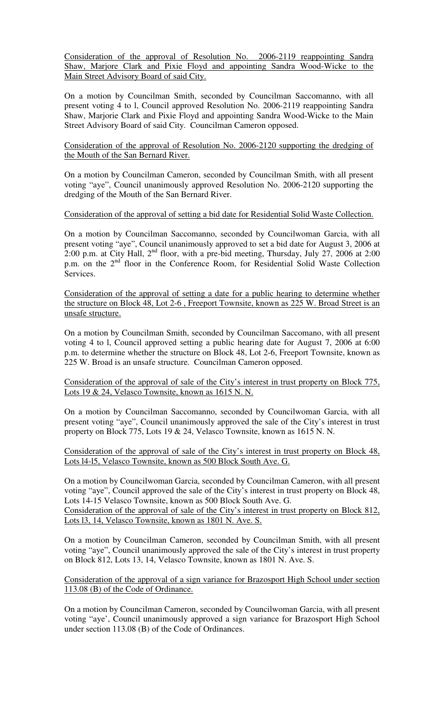Consideration of the approval of Resolution No. 2006-2119 reappointing Sandra Shaw, Marjore Clark and Pixie Floyd and appointing Sandra Wood-Wicke to the Main Street Advisory Board of said City.

On a motion by Councilman Smith, seconded by Councilman Saccomanno, with all present voting 4 to l, Council approved Resolution No. 2006-2119 reappointing Sandra Shaw, Marjorie Clark and Pixie Floyd and appointing Sandra Wood-Wicke to the Main Street Advisory Board of said City. Councilman Cameron opposed.

Consideration of the approval of Resolution No. 2006-2120 supporting the dredging of the Mouth of the San Bernard River.

On a motion by Councilman Cameron, seconded by Councilman Smith, with all present voting "aye", Council unanimously approved Resolution No. 2006-2120 supporting the dredging of the Mouth of the San Bernard River.

### Consideration of the approval of setting a bid date for Residential Solid Waste Collection.

On a motion by Councilman Saccomanno, seconded by Councilwoman Garcia, with all present voting "aye", Council unanimously approved to set a bid date for August 3, 2006 at 2:00 p.m. at City Hall,  $2^{nd}$  floor, with a pre-bid meeting, Thursday, July 27, 2006 at 2:00 p.m. on the 2<sup>nd</sup> floor in the Conference Room, for Residential Solid Waste Collection Services.

Consideration of the approval of setting a date for a public hearing to determine whether the structure on Block 48, Lot 2-6 , Freeport Townsite, known as 225 W. Broad Street is an unsafe structure.

On a motion by Councilman Smith, seconded by Councilman Saccomano, with all present voting 4 to l, Council approved setting a public hearing date for August 7, 2006 at 6:00 p.m. to determine whether the structure on Block 48, Lot 2-6, Freeport Townsite, known as 225 W. Broad is an unsafe structure. Councilman Cameron opposed.

Consideration of the approval of sale of the City's interest in trust property on Block 775, Lots 19 & 24, Velasco Townsite, known as 1615 N. N.

On a motion by Councilman Saccomanno, seconded by Councilwoman Garcia, with all present voting "aye", Council unanimously approved the sale of the City's interest in trust property on Block 775, Lots 19 & 24, Velasco Townsite, known as 1615 N. N.

Consideration of the approval of sale of the City's interest in trust property on Block 48, Lots l4-l5, Velasco Townsite, known as 500 Block South Ave. G.

On a motion by Councilwoman Garcia, seconded by Councilman Cameron, with all present voting "aye", Council approved the sale of the City's interest in trust property on Block 48, Lots 14-15 Velasco Townsite, known as 500 Block South Ave. G.

Consideration of the approval of sale of the City's interest in trust property on Block 812, Lots l3, 14, Velasco Townsite, known as 1801 N. Ave. S.

On a motion by Councilman Cameron, seconded by Councilman Smith, with all present voting "aye", Council unanimously approved the sale of the City's interest in trust property on Block 812, Lots 13, 14, Velasco Townsite, known as 1801 N. Ave. S.

Consideration of the approval of a sign variance for Brazosport High School under section 113.08 (B) of the Code of Ordinance.

On a motion by Councilman Cameron, seconded by Councilwoman Garcia, with all present voting "aye', Council unanimously approved a sign variance for Brazosport High School under section 113.08 (B) of the Code of Ordinances.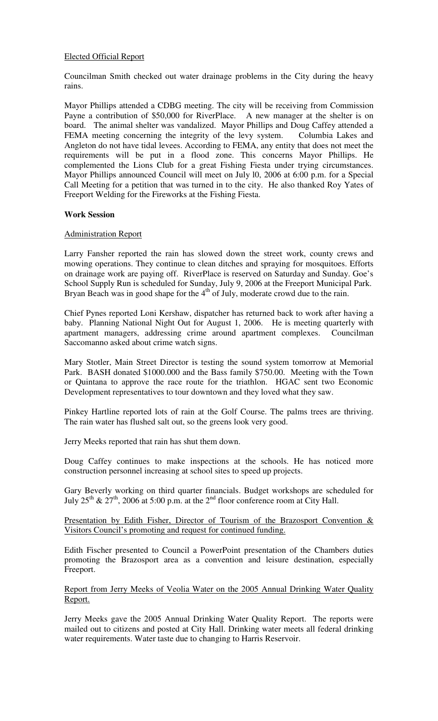## Elected Official Report

Councilman Smith checked out water drainage problems in the City during the heavy rains.

Mayor Phillips attended a CDBG meeting. The city will be receiving from Commission Payne a contribution of \$50,000 for RiverPlace. A new manager at the shelter is on board. The animal shelter was vandalized. Mayor Phillips and Doug Caffey attended a FEMA meeting concerning the integrity of the levy system. Columbia Lakes and Angleton do not have tidal levees. According to FEMA, any entity that does not meet the requirements will be put in a flood zone. This concerns Mayor Phillips. He complemented the Lions Club for a great Fishing Fiesta under trying circumstances. Mayor Phillips announced Council will meet on July l0, 2006 at 6:00 p.m. for a Special Call Meeting for a petition that was turned in to the city. He also thanked Roy Yates of Freeport Welding for the Fireworks at the Fishing Fiesta.

## **Work Session**

### Administration Report

Larry Fansher reported the rain has slowed down the street work, county crews and mowing operations. They continue to clean ditches and spraying for mosquitoes. Efforts on drainage work are paying off. RiverPlace is reserved on Saturday and Sunday. Goe's School Supply Run is scheduled for Sunday, July 9, 2006 at the Freeport Municipal Park. Bryan Beach was in good shape for the  $4<sup>th</sup>$  of July, moderate crowd due to the rain.

Chief Pynes reported Loni Kershaw, dispatcher has returned back to work after having a baby. Planning National Night Out for August 1, 2006. He is meeting quarterly with apartment managers, addressing crime around apartment complexes. Councilman Saccomanno asked about crime watch signs.

Mary Stotler, Main Street Director is testing the sound system tomorrow at Memorial Park. BASH donated \$1000.000 and the Bass family \$750.00. Meeting with the Town or Quintana to approve the race route for the triathlon. HGAC sent two Economic Development representatives to tour downtown and they loved what they saw.

Pinkey Hartline reported lots of rain at the Golf Course. The palms trees are thriving. The rain water has flushed salt out, so the greens look very good.

Jerry Meeks reported that rain has shut them down.

Doug Caffey continues to make inspections at the schools. He has noticed more construction personnel increasing at school sites to speed up projects.

Gary Beverly working on third quarter financials. Budget workshops are scheduled for July  $25^{th}$  &  $27^{th}$ , 2006 at 5:00 p.m. at the  $2^{nd}$  floor conference room at City Hall.

Presentation by Edith Fisher, Director of Tourism of the Brazosport Convention & Visitors Council's promoting and request for continued funding.

Edith Fischer presented to Council a PowerPoint presentation of the Chambers duties promoting the Brazosport area as a convention and leisure destination, especially Freeport.

### Report from Jerry Meeks of Veolia Water on the 2005 Annual Drinking Water Quality Report.

Jerry Meeks gave the 2005 Annual Drinking Water Quality Report. The reports were mailed out to citizens and posted at City Hall. Drinking water meets all federal drinking water requirements. Water taste due to changing to Harris Reservoir.